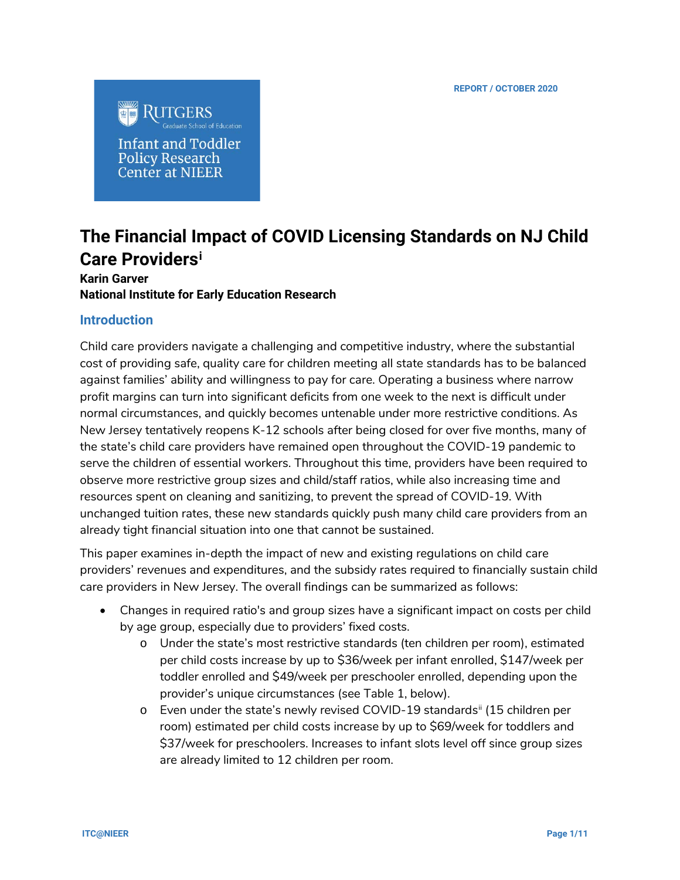

Infant and Toddler **Policy Research Center at NIEER** 

# **The Financial Impact of COVID Licensing Standards on NJ Child Care Providers[i](#page-10-0)**

## **Karin Garver National Institute for Early Education Research**

## **Introduction**

Child care providers navigate a challenging and competitive industry, where the substantial cost of providing safe, quality care for children meeting all state standards has to be balanced against families' ability and willingness to pay for care. Operating a business where narrow profit margins can turn into significant deficits from one week to the next is difficult under normal circumstances, and quickly becomes untenable under more restrictive conditions. As New Jersey tentatively reopens K-12 schools after being closed for over five months, many of the state's child care providers have remained open throughout the COVID-19 pandemic to serve the children of essential workers. Throughout this time, providers have been required to observe more restrictive group sizes and child/staff ratios, while also increasing time and resources spent on cleaning and sanitizing, to prevent the spread of COVID-19. With unchanged tuition rates, these new standards quickly push many child care providers from an already tight financial situation into one that cannot be sustained.

This paper examines in-depth the impact of new and existing regulations on child care providers' revenues and expenditures, and the subsidy rates required to financially sustain child care providers in New Jersey. The overall findings can be summarized as follows:

- Changes in required ratio's and group sizes have a significant impact on costs per child by age group, especially due to providers' fixed costs.
	- o Under the state's most restrictive standards (ten children per room), estimated per child costs increase by up to \$36/week per infant enrolled, \$147/week per toddler enrolled and \$49/week per preschooler enrolled, depending upon the provider's unique circumstances (see Table 1, below).
	- $\circ$  Even under the state's newly revised COVID-19 standards<sup>[ii](#page-10-1)</sup> (15 children per room) estimated per child costs increase by up to \$69/week for toddlers and \$37/week for preschoolers. Increases to infant slots level off since group sizes are already limited to 12 children per room.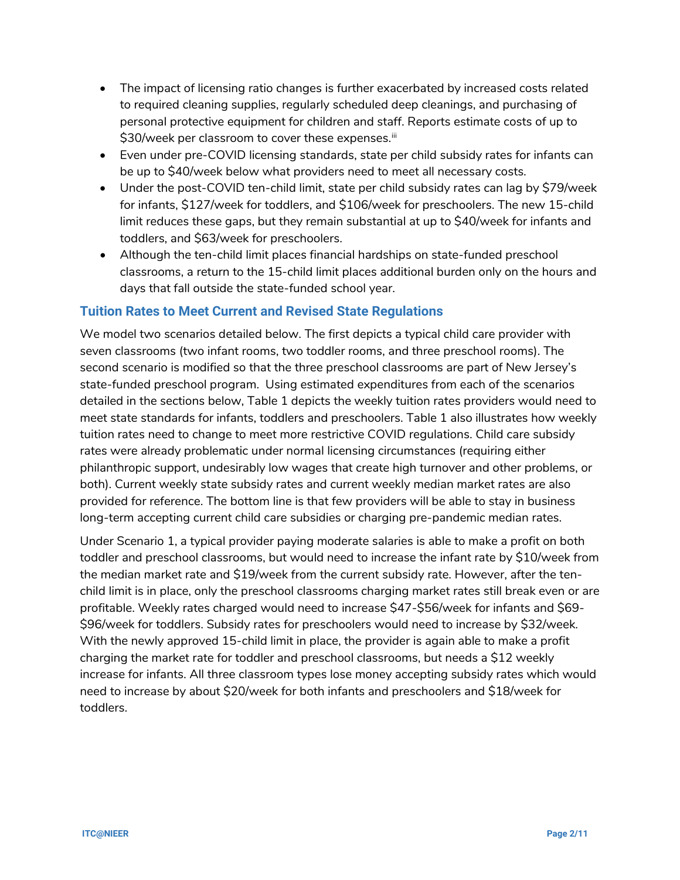- The impact of licensing ratio changes is further exacerbated by increased costs related to required cleaning supplies, regularly scheduled deep cleanings, and purchasing of personal protective equipment for children and staff. Reports estimate costs of up to \$30/week per classroom to cover these expenses.<sup>[iii](#page-10-2)</sup>
- Even under pre-COVID licensing standards, state per child subsidy rates for infants can be up to \$40/week below what providers need to meet all necessary costs.
- Under the post-COVID ten-child limit, state per child subsidy rates can lag by \$79/week for infants, \$127/week for toddlers, and \$106/week for preschoolers. The new 15-child limit reduces these gaps, but they remain substantial at up to \$40/week for infants and toddlers, and \$63/week for preschoolers.
- Although the ten-child limit places financial hardships on state-funded preschool classrooms, a return to the 15-child limit places additional burden only on the hours and days that fall outside the state-funded school year.

## **Tuition Rates to Meet Current and Revised State Regulations**

We model two scenarios detailed below. The first depicts a typical child care provider with seven classrooms (two infant rooms, two toddler rooms, and three preschool rooms). The second scenario is modified so that the three preschool classrooms are part of New Jersey's state-funded preschool program. Using estimated expenditures from each of the scenarios detailed in the sections below, Table 1 depicts the weekly tuition rates providers would need to meet state standards for infants, toddlers and preschoolers. Table 1 also illustrates how weekly tuition rates need to change to meet more restrictive COVID regulations. Child care subsidy rates were already problematic under normal licensing circumstances (requiring either philanthropic support, undesirably low wages that create high turnover and other problems, or both). Current weekly state subsidy rates and current weekly median market rates are also provided for reference. The bottom line is that few providers will be able to stay in business long-term accepting current child care subsidies or charging pre-pandemic median rates.

Under Scenario 1, a typical provider paying moderate salaries is able to make a profit on both toddler and preschool classrooms, but would need to increase the infant rate by \$10/week from the median market rate and \$19/week from the current subsidy rate. However, after the tenchild limit is in place, only the preschool classrooms charging market rates still break even or are profitable. Weekly rates charged would need to increase \$47-\$56/week for infants and \$69- \$96/week for toddlers. Subsidy rates for preschoolers would need to increase by \$32/week. With the newly approved 15-child limit in place, the provider is again able to make a profit charging the market rate for toddler and preschool classrooms, but needs a \$12 weekly increase for infants. All three classroom types lose money accepting subsidy rates which would need to increase by about \$20/week for both infants and preschoolers and \$18/week for toddlers.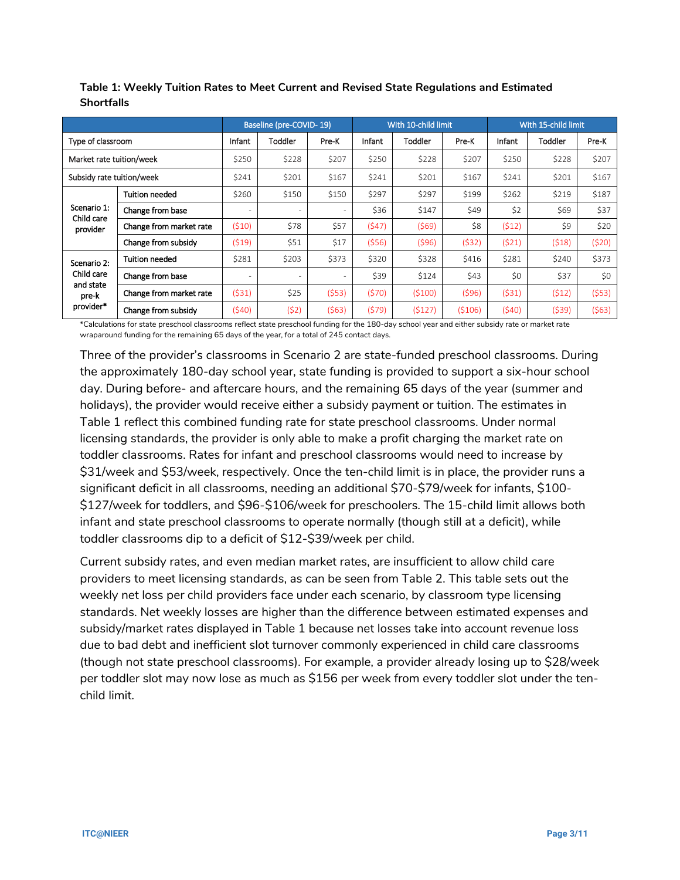|                                  |                         |        | Baseline (pre-COVID-19)  |       |        | With 10-child limit |          | With 15-child limit |         |       |
|----------------------------------|-------------------------|--------|--------------------------|-------|--------|---------------------|----------|---------------------|---------|-------|
| Type of classroom                |                         | Infant | Toddler                  | Pre-K | Infant | Toddler             | Pre-K    | Infant              | Toddler | Pre-K |
| Market rate tuition/week         |                         | \$250  | \$228                    | \$207 | \$250  | \$228               | \$207    | \$250               | \$228   | \$207 |
| Subsidy rate tuition/week        |                         | \$241  | \$201                    | \$167 | \$241  | \$201               | \$167    | \$241               | \$201   | \$167 |
|                                  | <b>Tuition needed</b>   | \$260  | \$150                    | \$150 | \$297  | \$297               | \$199    | \$262               | \$219   | \$187 |
| Scenario 1:<br>Child care        | Change from base        |        | $\overline{\phantom{a}}$ | ٠     | \$36   | \$147               | \$49     | \$2                 | \$69    | \$37  |
| provider                         | Change from market rate | (510)  | \$78                     | \$57  | (547)  | (569)               | \$8      | (512)               | \$9     | \$20  |
|                                  | Change from subsidy     | (519)  | \$51                     | \$17  | (556)  | (596)               | (532)    | (521)               | (518)   | (520) |
| Scenario 2:                      | Tuition needed          | \$281  | \$203                    | \$373 | \$320  | \$328               | \$416    | \$281               | \$240   | \$373 |
| Child care<br>and state<br>pre-k | Change from base        |        | $\overline{\phantom{a}}$ | ٠     | \$39   | \$124               | \$43     | \$0                 | \$37    | \$0   |
|                                  | Change from market rate | (531)  | \$25                     | (553) | (570)  | (5100)              | (596)    | (531)               | (512)   | (553) |
| provider*                        | Change from subsidy     | (540)  | (52)                     | (563) | (579)  | (5127)              | ( \$106) | (540)               | (539)   | (563) |

**Table 1: Weekly Tuition Rates to Meet Current and Revised State Regulations and Estimated Shortfalls**

\*Calculations for state preschool classrooms reflect state preschool funding for the 180-day school year and either subsidy rate or market rate wraparound funding for the remaining 65 days of the year, for a total of 245 contact days.

Three of the provider's classrooms in Scenario 2 are state-funded preschool classrooms. During the approximately 180-day school year, state funding is provided to support a six-hour school day. During before- and aftercare hours, and the remaining 65 days of the year (summer and holidays), the provider would receive either a subsidy payment or tuition. The estimates in Table 1 reflect this combined funding rate for state preschool classrooms. Under normal licensing standards, the provider is only able to make a profit charging the market rate on toddler classrooms. Rates for infant and preschool classrooms would need to increase by \$31/week and \$53/week, respectively. Once the ten-child limit is in place, the provider runs a significant deficit in all classrooms, needing an additional \$70-\$79/week for infants, \$100- \$127/week for toddlers, and \$96-\$106/week for preschoolers. The 15-child limit allows both infant and state preschool classrooms to operate normally (though still at a deficit), while toddler classrooms dip to a deficit of \$12-\$39/week per child.

Current subsidy rates, and even median market rates, are insufficient to allow child care providers to meet licensing standards, as can be seen from Table 2. This table sets out the weekly net loss per child providers face under each scenario, by classroom type licensing standards. Net weekly losses are higher than the difference between estimated expenses and subsidy/market rates displayed in Table 1 because net losses take into account revenue loss due to bad debt and inefficient slot turnover commonly experienced in child care classrooms (though not state preschool classrooms). For example, a provider already losing up to \$28/week per toddler slot may now lose as much as \$156 per week from every toddler slot under the tenchild limit.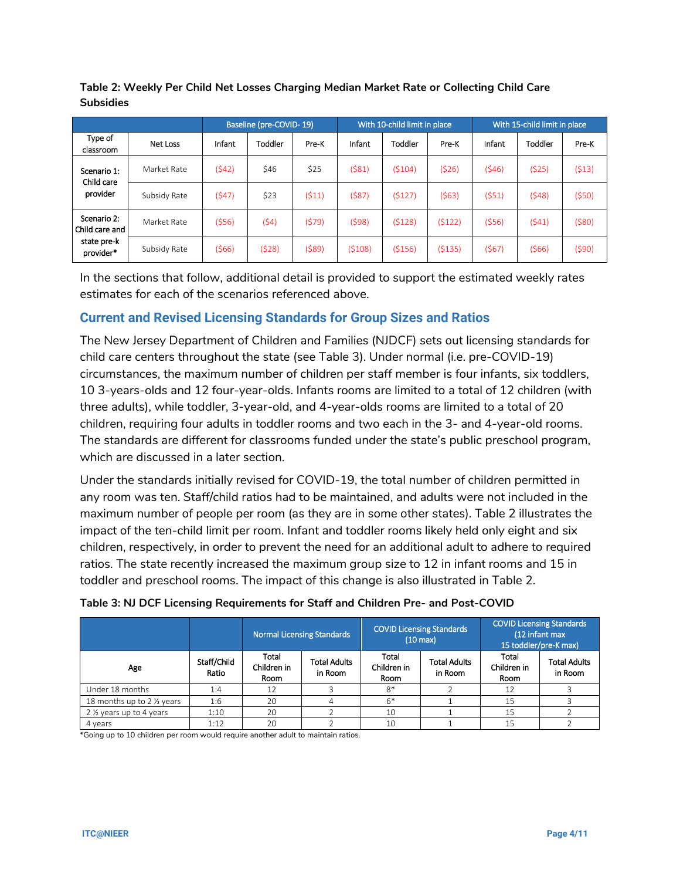|                                   |              |        | Baseline (pre-COVID-19) |       |        | With 10-child limit in place |        |        | With 15-child limit in place |       |
|-----------------------------------|--------------|--------|-------------------------|-------|--------|------------------------------|--------|--------|------------------------------|-------|
| Type of<br>classroom              | Net Loss     | Infant | Toddler                 | Pre-K | Infant | Toddler                      | Pre-K  | Infant | Toddler                      | Pre-K |
| Scenario 1:<br>Child care         | Market Rate  | (542)  | \$46                    | \$25  | (581)  | (5104)                       | (526)  | (546)  | (525)                        | (513) |
| provider                          | Subsidy Rate | (547)  | \$23                    | (511) | (587)  | (5127)                       | (563)  | (551)  | (548)                        | (550) |
| Scenario 2:<br>l Child care and l | Market Rate  | (556)  | (54)                    | (579) | (598)  | (5128)                       | (5122) | (556)  | (541)                        | (580) |
| state pre-k<br>provider*          | Subsidy Rate | (566)  | (528)                   | (589) | (5108) | (5156)                       | (5135) | (567)  | (566)                        | (590) |

**Table 2: Weekly Per Child Net Losses Charging Median Market Rate or Collecting Child Care Subsidies**

In the sections that follow, additional detail is provided to support the estimated weekly rates estimates for each of the scenarios referenced above.

# **Current and Revised Licensing Standards for Group Sizes and Ratios**

The New Jersey Department of Children and Families (NJDCF) sets out licensing standards for child care centers throughout the state (see Table 3). Under normal (i.e. pre-COVID-19) circumstances, the maximum number of children per staff member is four infants, six toddlers, 10 3-years-olds and 12 four-year-olds. Infants rooms are limited to a total of 12 children (with three adults), while toddler, 3-year-old, and 4-year-olds rooms are limited to a total of 20 children, requiring four adults in toddler rooms and two each in the 3- and 4-year-old rooms. The standards are different for classrooms funded under the state's public preschool program, which are discussed in a later section.

Under the standards initially revised for COVID-19, the total number of children permitted in any room was ten. Staff/child ratios had to be maintained, and adults were not included in the maximum number of people per room (as they are in some other states). Table 2 illustrates the impact of the ten-child limit per room. Infant and toddler rooms likely held only eight and six children, respectively, in order to prevent the need for an additional adult to adhere to required ratios. The state recently increased the maximum group size to 12 in infant rooms and 15 in toddler and preschool rooms. The impact of this change is also illustrated in Table 2.

|                                       |                      |                              | <b>Normal Licensing Standards</b> |                                     | <b>COVID Licensing Standards</b><br>$(10 \text{ max})$ | <b>COVID Licensing Standards</b><br>(12 infant max<br>15 toddler/pre-K max) |                                |  |
|---------------------------------------|----------------------|------------------------------|-----------------------------------|-------------------------------------|--------------------------------------------------------|-----------------------------------------------------------------------------|--------------------------------|--|
| Age                                   | Staff/Child<br>Ratio | Total<br>Children in<br>Room | <b>Total Adults</b><br>in Room    | Total<br>Children in<br><b>Room</b> | <b>Total Adults</b><br>in Room                         | Total<br>Children in<br>Room                                                | <b>Total Adults</b><br>in Room |  |
| Under 18 months                       | 1:4                  | 12                           |                                   | $8*$                                |                                                        | 12                                                                          |                                |  |
| 18 months up to 2 1/2 years           | 1:6                  | 20                           |                                   | $6*$                                |                                                        | 15                                                                          |                                |  |
| 2 1/ <sub>2</sub> years up to 4 years | 1:10                 | 20                           |                                   | 10                                  |                                                        | 15                                                                          |                                |  |
| 4 years                               | 1:12                 | 20                           |                                   | 10                                  |                                                        | 15                                                                          |                                |  |

## **Table 3: NJ DCF Licensing Requirements for Staff and Children Pre- and Post-COVID**

\*Going up to 10 children per room would require another adult to maintain ratios.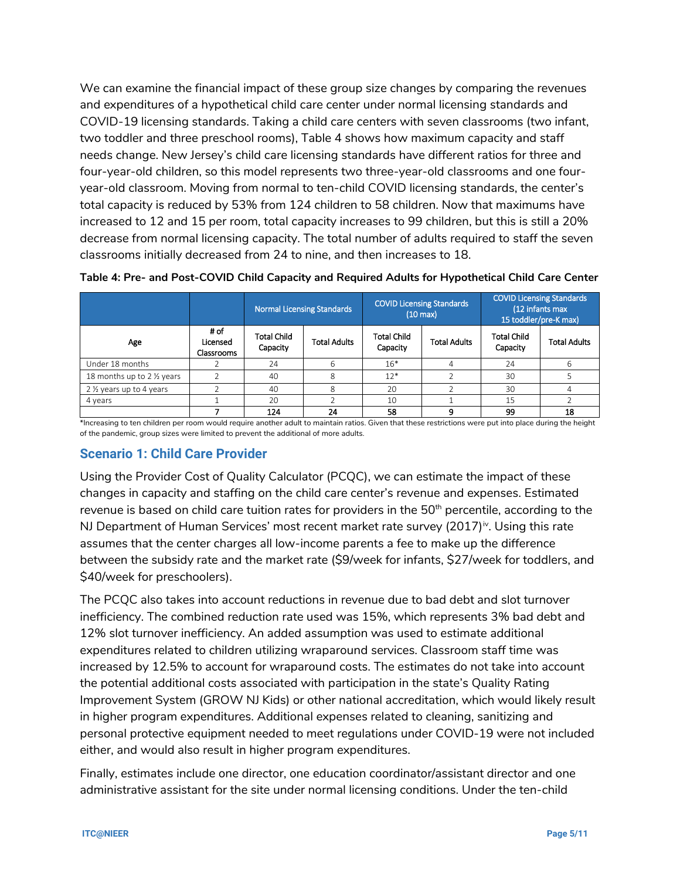We can examine the financial impact of these group size changes by comparing the revenues and expenditures of a hypothetical child care center under normal licensing standards and COVID-19 licensing standards. Taking a child care centers with seven classrooms (two infant, two toddler and three preschool rooms), Table 4 shows how maximum capacity and staff needs change. New Jersey's child care licensing standards have different ratios for three and four-year-old children, so this model represents two three-year-old classrooms and one fouryear-old classroom. Moving from normal to ten-child COVID licensing standards, the center's total capacity is reduced by 53% from 124 children to 58 children. Now that maximums have increased to 12 and 15 per room, total capacity increases to 99 children, but this is still a 20% decrease from normal licensing capacity. The total number of adults required to staff the seven classrooms initially decreased from 24 to nine, and then increases to 18.

|                             |                                |                         | <b>Normal Licensing Standards</b> |                                | <b>COVID Licensing Standards</b><br>$(10 \text{ max})$ | <b>COVID Licensing Standards</b><br>(12 infants max<br>15 toddler/pre-K max) |                     |  |
|-----------------------------|--------------------------------|-------------------------|-----------------------------------|--------------------------------|--------------------------------------------------------|------------------------------------------------------------------------------|---------------------|--|
| Age                         | # of<br>Licensed<br>Classrooms | Total Child<br>Capacity | <b>Total Adults</b>               | <b>Total Child</b><br>Capacity | <b>Total Adults</b>                                    | <b>Total Child</b><br>Capacity                                               | <b>Total Adults</b> |  |
| Under 18 months             |                                | 24                      | 6                                 | $16*$                          |                                                        | 24                                                                           | h                   |  |
| 18 months up to 2 1/2 years |                                | 40                      | 8                                 | $12*$                          |                                                        | 30                                                                           |                     |  |
| 2 1/2 years up to 4 years   |                                | 40                      | 8                                 | 20                             |                                                        | 30                                                                           | 4                   |  |
| 4 years                     |                                | 20                      |                                   |                                |                                                        | 15                                                                           |                     |  |
|                             |                                | 124                     | 24                                | 58                             | q                                                      | 99                                                                           | 18                  |  |

**Table 4: Pre- and Post-COVID Child Capacity and Required Adults for Hypothetical Child Care Center**

\*Increasing to ten children per room would require another adult to maintain ratios. Given that these restrictions were put into place during the height of the pandemic, group sizes were limited to prevent the additional of more adults.

## **Scenario 1: Child Care Provider**

Using the Provider Cost of Quality Calculator (PCQC), we can estimate the impact of these changes in capacity and staffing on the child care center's revenue and expenses. Estimated revenue is based on child care tuition rates for providers in the  $50<sup>th</sup>$  percentile, according to the NJ Department of Human Services' most recent market rate survey  $(2017)^{iv}$  $(2017)^{iv}$  $(2017)^{iv}$ . Using this rate assumes that the center charges all low-income parents a fee to make up the difference between the subsidy rate and the market rate (\$9/week for infants, \$27/week for toddlers, and \$40/week for preschoolers).

The PCQC also takes into account reductions in revenue due to bad debt and slot turnover inefficiency. The combined reduction rate used was 15%, which represents 3% bad debt and 12% slot turnover inefficiency. An added assumption was used to estimate additional expenditures related to children utilizing wraparound services. Classroom staff time was increased by 12.5% to account for wraparound costs. The estimates do not take into account the potential additional costs associated with participation in the state's Quality Rating Improvement System (GROW NJ Kids) or other national accreditation, which would likely result in higher program expenditures. Additional expenses related to cleaning, sanitizing and personal protective equipment needed to meet regulations under COVID-19 were not included either, and would also result in higher program expenditures.

Finally, estimates include one director, one education coordinator/assistant director and one administrative assistant for the site under normal licensing conditions. Under the ten-child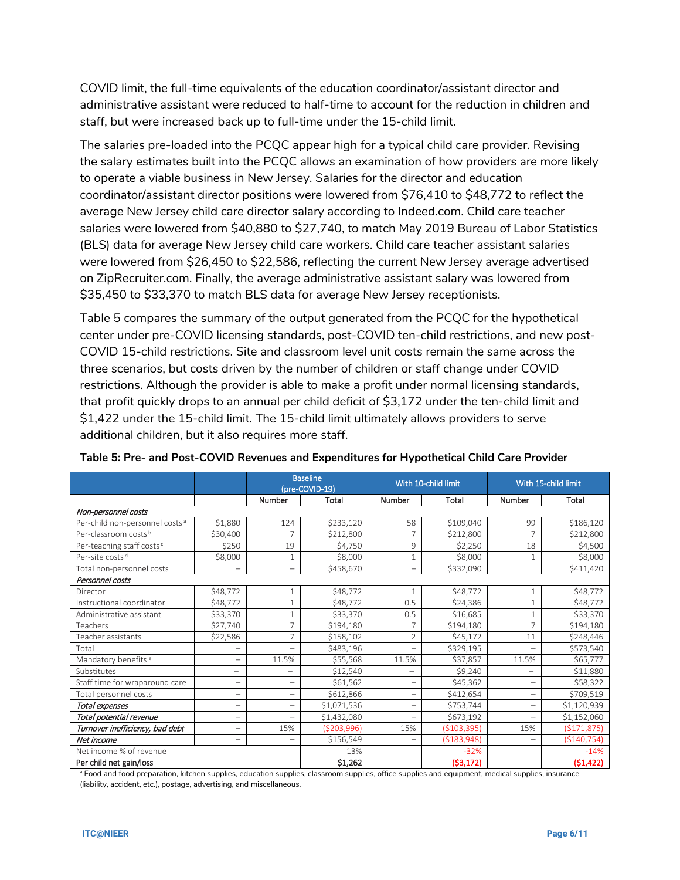COVID limit, the full-time equivalents of the education coordinator/assistant director and administrative assistant were reduced to half-time to account for the reduction in children and staff, but were increased back up to full-time under the 15-child limit.

The salaries pre-loaded into the PCQC appear high for a typical child care provider. Revising the salary estimates built into the PCQC allows an examination of how providers are more likely to operate a viable business in New Jersey. Salaries for the director and education coordinator/assistant director positions were lowered from \$76,410 to \$48,772 to reflect the average New Jersey child care director salary according to Indeed.com. Child care teacher salaries were lowered from \$40,880 to \$27,740, to match May 2019 Bureau of Labor Statistics (BLS) data for average New Jersey child care workers. Child care teacher assistant salaries were lowered from \$26,450 to \$22,586, reflecting the current New Jersey average advertised on ZipRecruiter.com. Finally, the average administrative assistant salary was lowered from \$35,450 to \$33,370 to match BLS data for average New Jersey receptionists.

Table 5 compares the summary of the output generated from the PCQC for the hypothetical center under pre-COVID licensing standards, post-COVID ten-child restrictions, and new post-COVID 15-child restrictions. Site and classroom level unit costs remain the same across the three scenarios, but costs driven by the number of children or staff change under COVID restrictions. Although the provider is able to make a profit under normal licensing standards, that profit quickly drops to an annual per child deficit of \$3,172 under the ten-child limit and \$1,422 under the 15-child limit. The 15-child limit ultimately allows providers to serve additional children, but it also requires more staff.

|                                            |                          |                          | <b>Baseline</b><br>(pre-COVID-19) |                          | With 10-child limit | With 15-child limit      |               |
|--------------------------------------------|--------------------------|--------------------------|-----------------------------------|--------------------------|---------------------|--------------------------|---------------|
|                                            |                          | Number                   | Total                             | Number                   | Total               | <b>Number</b>            | Total         |
| Non-personnel costs                        |                          |                          |                                   |                          |                     |                          |               |
| Per-child non-personnel costs <sup>a</sup> | \$1,880                  | 124                      | \$233,120                         | 58                       | \$109,040           | 99                       | \$186,120     |
| Per-classroom costs <sup>b</sup>           | \$30,400                 | $\overline{7}$           | \$212,800                         | 7                        | \$212,800           | $\overline{7}$           | \$212,800     |
| Per-teaching staff costs <sup>c</sup>      | \$250                    | 19                       | \$4,750                           | 9                        | \$2,250             | 18                       | \$4,500       |
| Per-site costs <sup>d</sup>                | \$8,000                  | $\mathbf{1}$             | \$8,000                           | 1                        | \$8,000             | $\mathbf{1}$             | \$8,000       |
| Total non-personnel costs                  | $\overline{\phantom{0}}$ |                          | \$458,670                         | $\overline{\phantom{0}}$ | \$332,090           |                          | \$411,420     |
| Personnel costs                            |                          |                          |                                   |                          |                     |                          |               |
| Director                                   | \$48,772                 | $\mathbf{1}$             | \$48,772                          |                          | \$48,772            | $\mathbf 1$              | \$48,772      |
| Instructional coordinator                  | \$48,772                 | $\mathbf{1}$             | \$48,772                          | 0.5                      | \$24,386            | $\mathbf 1$              | \$48,772      |
| Administrative assistant                   | \$33,370                 | $\mathbf{1}$             | \$33,370                          | 0.5                      | \$16,685            | $\mathbf{1}$             | \$33,370      |
| Teachers                                   | \$27,740                 | 7                        | \$194,180                         | 7                        | \$194,180           | $\overline{7}$           | \$194,180     |
| Teacher assistants                         | \$22,586                 | $\overline{7}$           | \$158,102                         | $\overline{2}$           | \$45,172            | 11                       | \$248,446     |
| Total                                      |                          |                          | \$483,196                         | $\overline{\phantom{0}}$ | \$329,195           | $\overline{\phantom{0}}$ | \$573,540     |
| Mandatory benefits <sup>e</sup>            | -                        | 11.5%                    | \$55,568                          | 11.5%                    | \$37,857            | 11.5%                    | \$65,777      |
| Substitutes                                | $\overline{\phantom{0}}$ | $\overline{\phantom{0}}$ | \$12,540                          | $\overline{\phantom{0}}$ | \$9,240             | $\overline{\phantom{0}}$ | \$11,880      |
| Staff time for wraparound care             | -                        | $\overline{\phantom{0}}$ | \$61,562                          | $\overline{\phantom{0}}$ | \$45,362            | $\overline{\phantom{0}}$ | \$58,322      |
| Total personnel costs                      | -                        | $\overline{\phantom{0}}$ | \$612,866                         | $\overline{\phantom{0}}$ | \$412,654           | $\qquad \qquad -$        | \$709,519     |
| Total expenses                             | -                        | $\overline{\phantom{0}}$ | \$1,071,536                       | $\overline{\phantom{0}}$ | \$753,744           | $\overline{\phantom{0}}$ | \$1,120,939   |
| Total potential revenue                    | -                        |                          | \$1,432,080                       | $\overline{\phantom{0}}$ | \$673,192           | $\overline{\phantom{0}}$ | \$1,152,060   |
| Turnover inefficiency, bad debt            | -                        | 15%                      | (\$203,996)                       | 15%                      | ( \$103, 395)       | 15%                      | (5171, 875)   |
| Net income                                 | -                        | $\overline{\phantom{0}}$ | \$156,549                         | $\overline{\phantom{0}}$ | ( \$183, 948)       | $\overline{\phantom{0}}$ | ( \$140, 754) |
| Net income % of revenue                    |                          |                          | 13%                               |                          | $-32%$              |                          | $-14%$        |
| Per child net gain/loss                    |                          |                          | \$1,262                           |                          | (53, 172)           |                          | (51, 422)     |

#### **Table 5: Pre- and Post-COVID Revenues and Expenditures for Hypothetical Child Care Provider**

<sup>a</sup> Food and food preparation, kitchen supplies, education supplies, classroom supplies, office supplies and equipment, medical supplies, insurance (liability, accident, etc.), postage, advertising, and miscellaneous.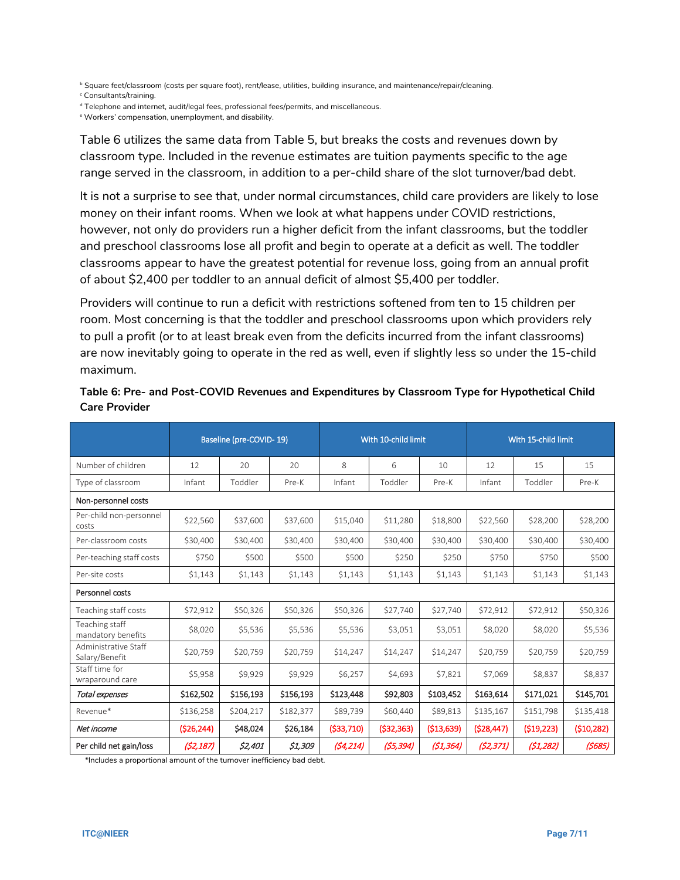**b Square feet/classroom (costs per square foot), rent/lease, utilities, building insurance, and maintenance/repair/cleaning.** 

<sup>c</sup> Consultants/training.

<sup>d</sup> Telephone and internet, audit/legal fees, professional fees/permits, and miscellaneous.

<sup>e</sup> Workers' compensation, unemployment, and disability.

Table 6 utilizes the same data from Table 5, but breaks the costs and revenues down by classroom type. Included in the revenue estimates are tuition payments specific to the age range served in the classroom, in addition to a per-child share of the slot turnover/bad debt.

It is not a surprise to see that, under normal circumstances, child care providers are likely to lose money on their infant rooms. When we look at what happens under COVID restrictions, however, not only do providers run a higher deficit from the infant classrooms, but the toddler and preschool classrooms lose all profit and begin to operate at a deficit as well. The toddler classrooms appear to have the greatest potential for revenue loss, going from an annual profit of about \$2,400 per toddler to an annual deficit of almost \$5,400 per toddler.

Providers will continue to run a deficit with restrictions softened from ten to 15 children per room. Most concerning is that the toddler and preschool classrooms upon which providers rely to pull a profit (or to at least break even from the deficits incurred from the infant classrooms) are now inevitably going to operate in the red as well, even if slightly less so under the 15-child maximum.

|                                        | Baseline (pre-COVID-19) |           |           |              | With 10-child limit |             | With 15-child limit |            |            |  |
|----------------------------------------|-------------------------|-----------|-----------|--------------|---------------------|-------------|---------------------|------------|------------|--|
| Number of children                     | 12                      | 20        | 20        | 8            | 6                   | 10          | 12                  | 15         | 15         |  |
| Type of classroom                      | Infant                  | Toddler   | Pre-K     | Infant       | Toddler             | Pre-K       | Infant              | Toddler    | Pre-K      |  |
| Non-personnel costs                    |                         |           |           |              |                     |             |                     |            |            |  |
| Per-child non-personnel<br>costs       | \$22,560                | \$37,600  | \$37,600  | \$15,040     | \$11,280            | \$18,800    | \$22,560            | \$28,200   | \$28,200   |  |
| Per-classroom costs                    | \$30,400                | \$30,400  | \$30,400  | \$30,400     | \$30,400            | \$30,400    | \$30,400            | \$30,400   | \$30,400   |  |
| Per-teaching staff costs               | \$750                   | \$500     | \$500     | \$500        | \$250               | \$250       | \$750               | \$750      | \$500      |  |
| Per-site costs                         | \$1,143                 | \$1,143   | \$1,143   | \$1,143      | \$1,143             | \$1,143     | \$1,143             | \$1,143    | \$1,143    |  |
| Personnel costs                        |                         |           |           |              |                     |             |                     |            |            |  |
| Teaching staff costs                   | \$72,912                | \$50,326  | \$50,326  | \$50,326     | \$27,740            | \$27,740    | \$72,912            | \$72,912   | \$50,326   |  |
| Teaching staff<br>mandatory benefits   | \$8,020                 | \$5,536   | \$5,536   | \$5,536      | \$3,051             | \$3,051     | \$8,020             | \$8,020    | \$5,536    |  |
| Administrative Staff<br>Salary/Benefit | \$20,759                | \$20,759  | \$20,759  | \$14,247     | \$14,247            | \$14,247    | \$20,759            | \$20,759   | \$20,759   |  |
| Staff time for<br>wraparound care      | \$5,958                 | \$9,929   | \$9,929   | \$6,257      | \$4,693             | \$7,821     | \$7,069             | \$8,837    | \$8,837    |  |
| Total expenses                         | \$162,502               | \$156,193 | \$156,193 | \$123,448    | \$92,803            | \$103,452   | \$163,614           | \$171,021  | \$145,701  |  |
| Revenue*                               | \$136,258               | \$204,217 | \$182,377 | \$89,739     | \$60,440            | \$89,813    | \$135,167           | \$151,798  | \$135,418  |  |
| Net income                             | (\$26,244)              | \$48,024  | \$26,184  | ( \$33, 710) | ( \$32, 363)        | ( \$13,639) | (528, 447)          | (519, 223) | (510, 282) |  |
| Per child net gain/loss                | (52, 187)               | \$2,401   | \$1,309   | (54, 214)    | (\$5,394)           | (51, 364)   | (52, 371)           | (\$1,282)  | (5685)     |  |

## **Table 6: Pre- and Post-COVID Revenues and Expenditures by Classroom Type for Hypothetical Child Care Provider**

\*Includes a proportional amount of the turnover inefficiency bad debt.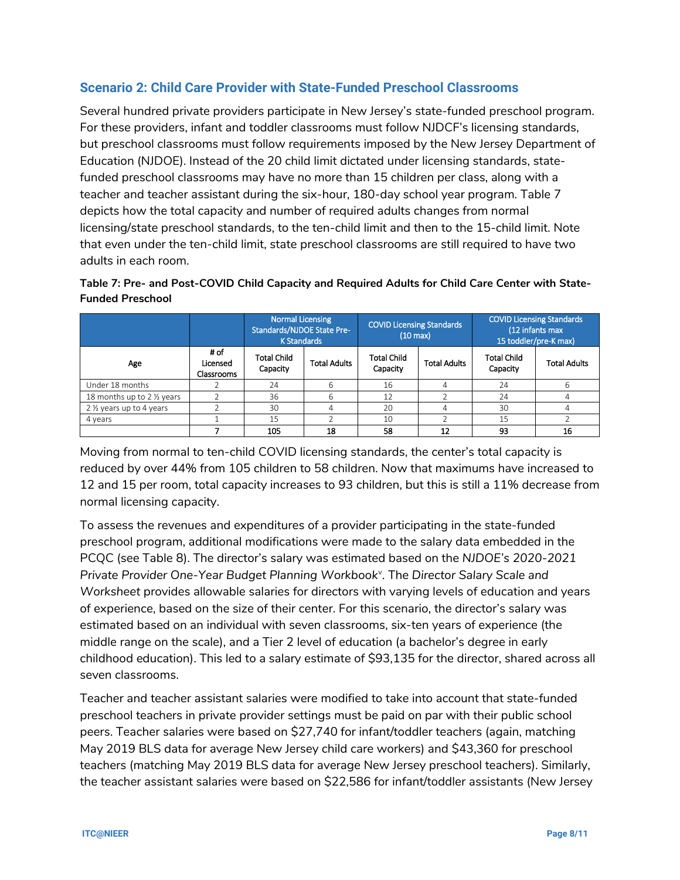## **Scenario 2: Child Care Provider with State-Funded Preschool Classrooms**

Several hundred private providers participate in New Jersey's state-funded preschool program. For these providers, infant and toddler classrooms must follow NJDCF's licensing standards, but preschool classrooms must follow requirements imposed by the New Jersey Department of Education (NJDOE). Instead of the 20 child limit dictated under licensing standards, statefunded preschool classrooms may have no more than 15 children per class, along with a teacher and teacher assistant during the six-hour, 180-day school year program. Table 7 depicts how the total capacity and number of required adults changes from normal licensing/state preschool standards, to the ten-child limit and then to the 15-child limit. Note that even under the ten-child limit, state preschool classrooms are still required to have two adults in each room.

**Table 7: Pre- and Post-COVID Child Capacity and Required Adults for Child Care Center with State-Funded Preschool**

|                             |                                | Normal Licensing<br>Standards/NJDOE State Pre-<br><b>K Standards</b> |                     | <b>COVID Licensing Standards</b><br>$(10 \text{ max})$ |                     | <b>COVID Licensing Standards</b><br>(12 infants max<br>15 toddler/pre-K max) |                     |  |
|-----------------------------|--------------------------------|----------------------------------------------------------------------|---------------------|--------------------------------------------------------|---------------------|------------------------------------------------------------------------------|---------------------|--|
| Age                         | # of<br>Licensed<br>Classrooms | <b>Total Child</b><br>Capacity                                       | <b>Total Adults</b> | <b>Total Child</b><br>Capacity                         | <b>Total Adults</b> | <b>Total Child</b><br>Capacity                                               | <b>Total Adults</b> |  |
| Under 18 months             |                                | 24                                                                   | 6                   | 16                                                     | 4                   | 24                                                                           | 6                   |  |
| 18 months up to 2 1/2 years |                                | 36                                                                   | 6                   | 12                                                     |                     | 24                                                                           |                     |  |
| 2 1/2 years up to 4 years   |                                | 30                                                                   |                     | 20                                                     | 4                   | 30                                                                           |                     |  |
| 4 years                     |                                | 15                                                                   |                     |                                                        |                     | 15                                                                           |                     |  |
|                             |                                | 105                                                                  | 18                  | 58                                                     | 12                  | 93                                                                           | 16                  |  |

Moving from normal to ten-child COVID licensing standards, the center's total capacity is reduced by over 44% from 105 children to 58 children. Now that maximums have increased to 12 and 15 per room, total capacity increases to 93 children, but this is still a 11% decrease from normal licensing capacity.

To assess the revenues and expenditures of a provider participating in the state-funded preschool program, additional modifications were made to the salary data embedded in the PCQC (see Table 8). The director's salary was estimated based on the *NJDOE's 2020-2021*  Pri[v](#page-10-4)ate Provider One-Year Budget Planning Workbook<sup>v</sup>. The Director Salary Scale and *Worksheet* provides allowable salaries for directors with varying levels of education and years of experience, based on the size of their center. For this scenario, the director's salary was estimated based on an individual with seven classrooms, six-ten years of experience (the middle range on the scale), and a Tier 2 level of education (a bachelor's degree in early childhood education). This led to a salary estimate of \$93,135 for the director, shared across all seven classrooms.

Teacher and teacher assistant salaries were modified to take into account that state-funded preschool teachers in private provider settings must be paid on par with their public school peers. Teacher salaries were based on \$27,740 for infant/toddler teachers (again, matching May 2019 BLS data for average New Jersey child care workers) and \$43,360 for preschool teachers (matching May 2019 BLS data for average New Jersey preschool teachers). Similarly, the teacher assistant salaries were based on \$22,586 for infant/toddler assistants (New Jersey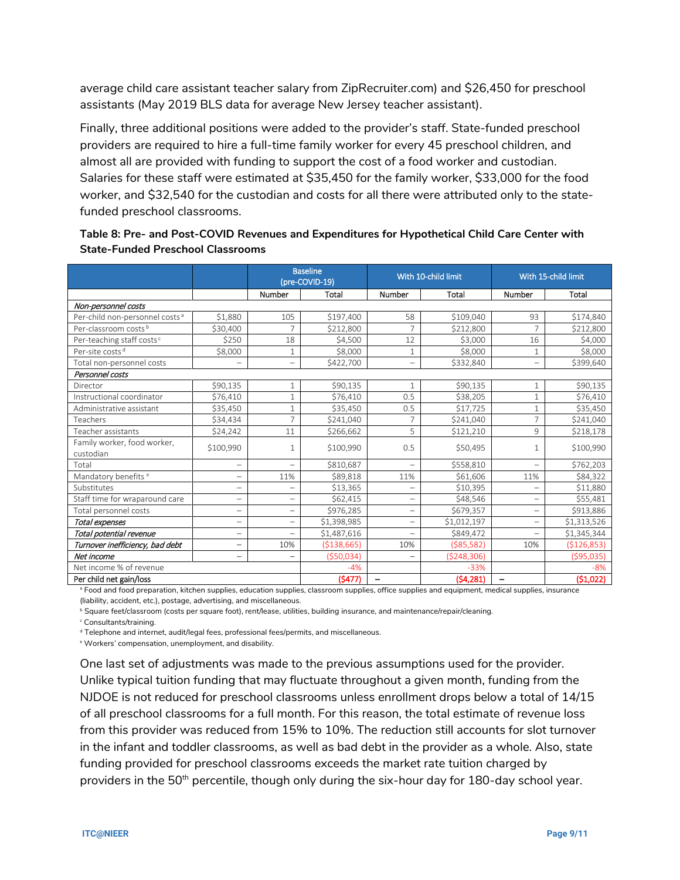average child care assistant teacher salary from ZipRecruiter.com) and \$26,450 for preschool assistants (May 2019 BLS data for average New Jersey teacher assistant).

Finally, three additional positions were added to the provider's staff. State-funded preschool providers are required to hire a full-time family worker for every 45 preschool children, and almost all are provided with funding to support the cost of a food worker and custodian. Salaries for these staff were estimated at \$35,450 for the family worker, \$33,000 for the food worker, and \$32,540 for the custodian and costs for all there were attributed only to the statefunded preschool classrooms.

|                                            |                          |                          | <b>Baseline</b><br>(pre-COVID-19) |                          | With 10-child limit | With 15-child limit      |             |  |
|--------------------------------------------|--------------------------|--------------------------|-----------------------------------|--------------------------|---------------------|--------------------------|-------------|--|
|                                            |                          | Number                   | Total                             | Number                   | Total               | Number                   | Total       |  |
| Non-personnel costs                        |                          |                          |                                   |                          |                     |                          |             |  |
| Per-child non-personnel costs <sup>a</sup> | \$1,880                  | 105                      | \$197,400                         | 58                       | \$109,040           | 93                       | \$174,840   |  |
| Per-classroom costs <sup>b</sup>           | \$30,400                 |                          | \$212,800                         | $\overline{7}$           | \$212,800           | $\overline{7}$           | \$212,800   |  |
| Per-teaching staff costs <sup>c</sup>      | \$250                    | 18                       | \$4,500                           | 12                       | \$3,000             | 16                       | \$4,000     |  |
| Per-site costs <sup>d</sup>                | \$8,000                  |                          | \$8,000                           | $1\,$                    | \$8,000             | 1                        | \$8,000     |  |
| Total non-personnel costs                  |                          |                          | \$422,700                         | $\overline{\phantom{0}}$ | \$332,840           | $\overline{\phantom{0}}$ | \$399,640   |  |
| Personnel costs                            |                          |                          |                                   |                          |                     |                          |             |  |
| Director                                   | \$90,135                 |                          | \$90,135                          | $\mathbf{1}$             | \$90,135            | $\mathbf{1}$             | \$90,135    |  |
| Instructional coordinator                  | \$76,410                 |                          | \$76,410                          | 0.5                      | \$38,205            | $\mathbf{1}$             | \$76,410    |  |
| Administrative assistant                   | \$35,450                 | $\mathbf{1}$             | \$35,450                          | 0.5                      | \$17,725            | $\mathbf{1}$             | \$35,450    |  |
| Teachers                                   | \$34,434                 | $\overline{7}$           | \$241,040                         | 7                        | \$241,040           | $\overline{7}$           | \$241,040   |  |
| Teacher assistants                         | \$24,242                 | 11                       | \$266,662                         | 5                        | \$121,210           | 9                        | \$218,178   |  |
| Family worker, food worker,<br>custodian   | \$100,990                |                          | \$100,990                         | 0.5                      | \$50,495            | $\mathbf{1}$             | \$100,990   |  |
| Total                                      | $\overline{\phantom{a}}$ |                          | \$810,687                         | $\overline{\phantom{0}}$ | \$558,810           | $\overline{\phantom{0}}$ | \$762,203   |  |
| Mandatory benefits <sup>e</sup>            | $\overline{\phantom{0}}$ | 11%                      | \$89,818                          | 11%                      | \$61,606            | 11%                      | \$84,322    |  |
| Substitutes                                | $\overline{\phantom{0}}$ |                          | \$13,365                          | $\overline{\phantom{0}}$ | \$10,395            | $\overline{\phantom{0}}$ | \$11,880    |  |
| Staff time for wraparound care             | $\overline{\phantom{0}}$ | $\overline{\phantom{0}}$ | \$62,415                          | $\overline{\phantom{0}}$ | \$48,546            | $\overline{\phantom{0}}$ | \$55,481    |  |
| Total personnel costs                      | $\overline{\phantom{0}}$ | $\overline{\phantom{0}}$ | \$976,285                         | $\qquad \qquad -$        | \$679,357           | $\qquad \qquad -$        | \$913,886   |  |
| Total expenses                             | $\overline{\phantom{0}}$ | $\overline{\phantom{0}}$ | \$1,398,985                       | $\overline{\phantom{0}}$ | \$1,012,197         | $\overline{\phantom{0}}$ | \$1,313,526 |  |
| Total potential revenue                    | $\overline{\phantom{0}}$ |                          | \$1,487,616                       | $\overline{\phantom{0}}$ | \$849,472           | $\overline{\phantom{0}}$ | \$1,345,344 |  |
| Turnover inefficiency, bad debt            | -                        | 10%                      | (5138, 665)                       | 10%                      | (585, 582)          | 10%                      | (5126, 853) |  |
| Net income                                 | $\overline{\phantom{0}}$ |                          | ( \$50,034)                       | $\overline{\phantom{0}}$ | ( \$248, 306)       |                          | ( \$95,035) |  |
| Net income % of revenue                    |                          |                          | $-4%$                             |                          | $-33%$              |                          | $-8%$       |  |
| Per child net gain/loss                    |                          |                          | (5477)                            |                          | (54, 281)           |                          | (51,022)    |  |

## **Table 8: Pre- and Post-COVID Revenues and Expenditures for Hypothetical Child Care Center with State-Funded Preschool Classrooms**

<sup>a</sup> Food and food preparation, kitchen supplies, education supplies, classroom supplies, office supplies and equipment, medical supplies, insurance (liability, accident, etc.), postage, advertising, and miscellaneous.

**b Square feet/classroom (costs per square foot), rent/lease, utilities, building insurance, and maintenance/repair/cleaning.** 

<sup>c</sup> Consultants/training.

<sup>d</sup> Telephone and internet, audit/legal fees, professional fees/permits, and miscellaneous.

<sup>e</sup> Workers' compensation, unemployment, and disability.

One last set of adjustments was made to the previous assumptions used for the provider. Unlike typical tuition funding that may fluctuate throughout a given month, funding from the NJDOE is not reduced for preschool classrooms unless enrollment drops below a total of 14/15 of all preschool classrooms for a full month. For this reason, the total estimate of revenue loss from this provider was reduced from 15% to 10%. The reduction still accounts for slot turnover in the infant and toddler classrooms, as well as bad debt in the provider as a whole. Also, state funding provided for preschool classrooms exceeds the market rate tuition charged by providers in the 50<sup>th</sup> percentile, though only during the six-hour day for 180-day school year.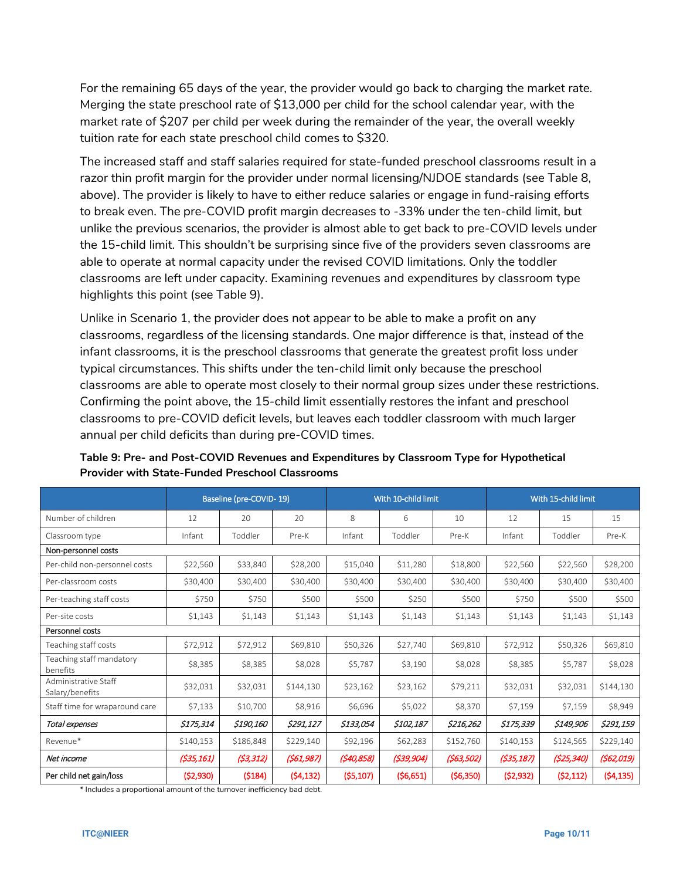For the remaining 65 days of the year, the provider would go back to charging the market rate. Merging the state preschool rate of \$13,000 per child for the school calendar year, with the market rate of \$207 per child per week during the remainder of the year, the overall weekly tuition rate for each state preschool child comes to \$320.

The increased staff and staff salaries required for state-funded preschool classrooms result in a razor thin profit margin for the provider under normal licensing/NJDOE standards (see Table 8, above). The provider is likely to have to either reduce salaries or engage in fund-raising efforts to break even. The pre-COVID profit margin decreases to -33% under the ten-child limit, but unlike the previous scenarios, the provider is almost able to get back to pre-COVID levels under the 15-child limit. This shouldn't be surprising since five of the providers seven classrooms are able to operate at normal capacity under the revised COVID limitations. Only the toddler classrooms are left under capacity. Examining revenues and expenditures by classroom type highlights this point (see Table 9).

Unlike in Scenario 1, the provider does not appear to be able to make a profit on any classrooms, regardless of the licensing standards. One major difference is that, instead of the infant classrooms, it is the preschool classrooms that generate the greatest profit loss under typical circumstances. This shifts under the ten-child limit only because the preschool classrooms are able to operate most closely to their normal group sizes under these restrictions. Confirming the point above, the 15-child limit essentially restores the infant and preschool classrooms to pre-COVID deficit levels, but leaves each toddler classroom with much larger annual per child deficits than during pre-COVID times.

|                                         |            | Baseline (pre-COVID-19) |            |            | With 10-child limit |            |            | With 15-child limit |            |
|-----------------------------------------|------------|-------------------------|------------|------------|---------------------|------------|------------|---------------------|------------|
| Number of children                      | 12         | 20                      | 20         | 8          | 6                   | 10         | 12         | 15                  | 15         |
| Classroom type                          | Infant     | Toddler                 | Pre-K      | Infant     | Toddler             | Pre-K      | Infant     | Toddler             | Pre-K      |
| Non-personnel costs                     |            |                         |            |            |                     |            |            |                     |            |
| Per-child non-personnel costs           | \$22,560   | \$33,840                | \$28,200   | \$15,040   | \$11,280            | \$18,800   | \$22,560   | \$22,560            | \$28,200   |
| Per-classroom costs                     | \$30,400   | \$30,400                | \$30,400   | \$30,400   | \$30,400            | \$30,400   | \$30,400   | \$30,400            | \$30,400   |
| Per-teaching staff costs                | \$750      | \$750                   | \$500      | \$500      | \$250               | \$500      | \$750      | \$500               | \$500      |
| Per-site costs                          | \$1,143    | \$1,143                 | \$1,143    | \$1,143    | \$1,143             | \$1,143    | \$1,143    | \$1,143             | \$1,143    |
| Personnel costs                         |            |                         |            |            |                     |            |            |                     |            |
| Teaching staff costs                    | \$72,912   | \$72,912                | \$69,810   | \$50,326   | \$27,740            | \$69,810   | \$72,912   | \$50,326            | \$69,810   |
| Teaching staff mandatory<br>benefits    | \$8,385    | \$8,385                 | \$8,028    | \$5,787    | \$3,190             | \$8,028    | \$8,385    | \$5,787             | \$8,028    |
| Administrative Staff<br>Salary/benefits | \$32,031   | \$32,031                | \$144,130  | \$23,162   | \$23,162            | \$79,211   | \$32,031   | \$32,031            | \$144,130  |
| Staff time for wraparound care          | \$7,133    | \$10,700                | \$8,916    | \$6,696    | \$5,022             | \$8,370    | \$7,159    | \$7,159             | \$8,949    |
| Total expenses                          | \$175,314  | \$190,160               | \$291,127  | \$133,054  | \$102,187           | \$216,262  | \$175,339  | \$149,906           | \$291,159  |
| Revenue*                                | \$140,153  | \$186,848               | \$229,140  | \$92,196   | \$62,283            | \$152,760  | \$140,153  | \$124,565           | \$229,140  |
| Net income                              | (\$35,161) | (53, 312)               | (561, 987) | (540, 858) | (539, 904)          | (563, 502) | (535, 187) | (525, 340)          | (562, 019) |
| Per child net gain/loss                 | (52,930)   | (5184)                  | (54, 132)  | (55, 107)  | (56,651)            | (56,350)   | (52, 932)  | (52, 112)           | (54, 135)  |

## **Table 9: Pre- and Post-COVID Revenues and Expenditures by Classroom Type for Hypothetical Provider with State-Funded Preschool Classrooms**

\* Includes a proportional amount of the turnover inefficiency bad debt.